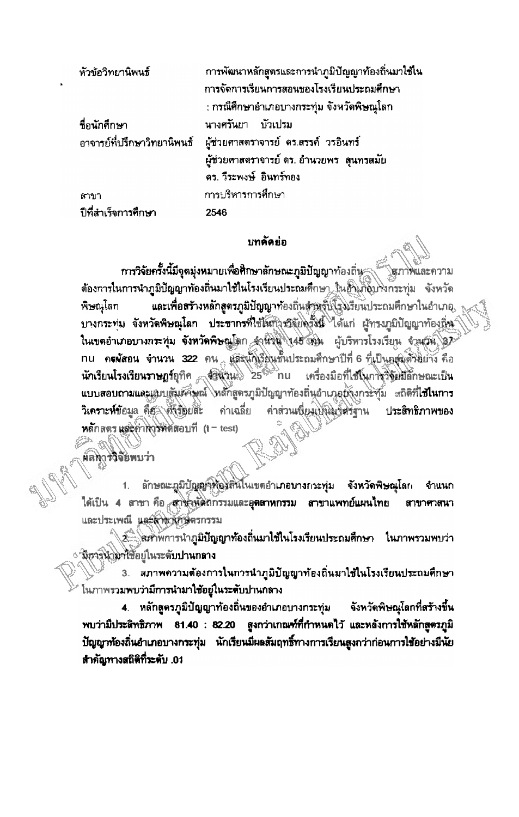| หัวข้อวิทยานิพนธ์   | การพัฒนาหลักสูตรและการนำภูมิปัญญาท้องถิ่นมาใช้ใน                  |
|---------------------|-------------------------------------------------------------------|
|                     | การจัดการเรียนการสอนของโรงเรียนประถมศึกษา                         |
|                     | ่ : กรณีศึกษาอำเภอบางกระทุ่ม จังหวัดพิษณุโลก                      |
| ชื่อนักศึกษา        | นางศรันยา บัวเปรม                                                 |
|                     | ่อาจารย์ที่ปรึกษาวิทยานิพนธ์ ผู้ช่วยศาสตราจารย์ คร.สรรค์ วรอินทร์ |
|                     | ผู้ช่วยศาสตราจารย์ ดร. อำนวยพร   ดุนทรสมัย                        |
|                     | ดร. วีระพงษ์ อินทร์ทอง                                            |
| ิสาขา               | การบริหารการศึกษา                                                 |
| ปีที่สำเร็จการศึกษา | 2546                                                              |

## บทคัดย่อ

การวิจัยครั้งนี้มีจุดมุ่งหมายเพื่อศึกษาลักษณะภูมิปัญญาท้องถิ่น ด้องการในการนำภูมิปัญญาท้องถิ่นมาใช้ในโรงเรียนประถมศึกษา ในอำเภอบางกระทุ่ม จังหวัด พิษณุโลก **และเพื่อสร้างหลักสูตรภูมิปัญญาท้องถิ่นส**ู่ชุดจุ๊ฟ้โรงเรียนประถมศึกษาในอำเภอ บางกระทุ่ม จังหวัดพิษณุโลก ประชากรที่ใช้ให้กำรวิจัยตรังนี้ ได้แก่ ผู้ทรงภูมิปัญญาท้องลิ่น ในเขตอำเภอบางกระทุ่ม จังหวัดพิษณูโตก จำนวน 145 คน ผู้บริหารโรงเรียน จำนวน 37 nu ค**รผัสอน จำนวน** 322 คน และนักเรียนชั้นประถมศึกษาปีที่ 6 ที่เป็นอสมศักษาวิธี นักเรียนโรงเรียนราษฎร์อุทิศ จัดพิวนะ 25<sup>6%</sup> nu เครื่องมือที่ไข้ในการวิจัยมีลักษณะเป็น แบบสอบถามและแบบสัมผัสษณ์ ไหล้กสูตรภูมิปัญญาท้องถิ่นอำเภอยังงกระทั่ม แถิติที่ใช้ในการ วิเคราะห์ข้อมูล คือ ทั้งรับยัตะ ค่าส่วนเพียงเพิ่มงาศรฐาน <u>คำเฉลี่ย</u> ประสิทธิภาพของ หลักสตร แต่ะค่าการทิดตอบที่ (t - test)

ผลทุกรวิจัยพบว่า

ลักษณะภูมิปัญญัติสั่งอิสนิโนเขตอำเภอบางกระทุ่ม จังหวัดพิษณุโลก จำแนก ได้เป็น 4 สาขา คือ สาข้าหูได้ถูกรรมและอุต**ลาหกรรม สาขาแพทย์แผนไทย** สาขาศาสนา และประเพณี และสาขาเกษตรกรรม

2 - สะทัพการนำภูมิปัญญาท้องถิ่นมาไช้ในโรงเรียนประถมศึกษา ในภาพรวมพบว่า ึ่∕ มีการนำไฟไข้อยู่ในระดับปานก**ลาง** 

3. สภาพความต้องการในการนำภูมิปัญญาท้องถิ่นมาใช้ในโรงเรียนประถมศึกษา โนภาพรวมพบว่ามีการนำมาใช้อยู่ในระดับปานกลาง

4. หลักสูตรภูมิปัญญาท้องถิ่นของอำเภอบางกระทุ่ม จังหวัดพิษณุโลกที่สร้างขึ้น พบว่ามีประดิทธิภาพ 81.40 : 82.20 สูงกว่าเกณฑ์ที่กำหนดไว้ และหลังการใช้หลักสูตรภูมิ ปัญญาท้องถิ่นอำเภอบางกระทุ่ม นักเรียนมีผลสัมฤทธิ์ทางการเรียนสูงกว่าก่อนการใช้อย่างมีนัย สำคัญทางสถิติที่ระดับ .01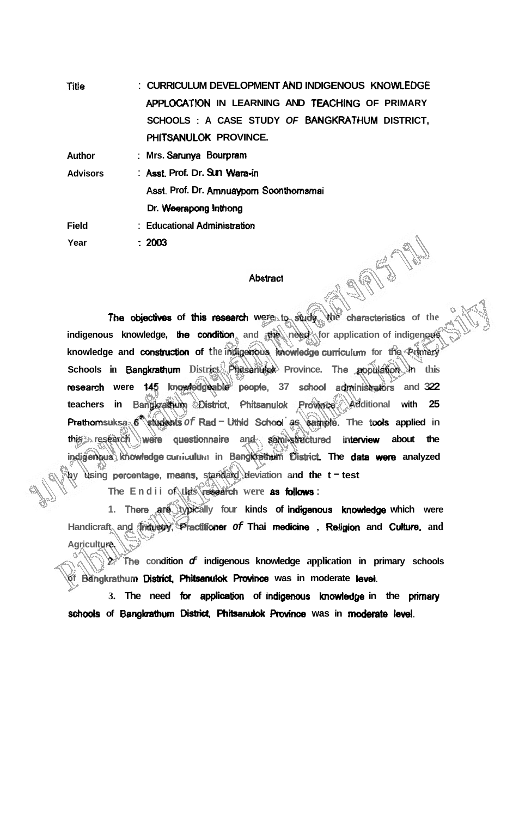| <b>Title</b>    | : CURRICULUM DEVELOPMENT AND INDIGENOUS KNOWLEDGE                                  |
|-----------------|------------------------------------------------------------------------------------|
|                 | APPLOCATION IN LEARNING AND TEACHING OF PRIMARY                                    |
|                 | SCHOOLS: A CASE STUDY OF BANGKRATHUM DISTRICT,                                     |
|                 | PHITSANULOK PROVINCE.                                                              |
| Author          | : Mrs. Sarunya Bourpram                                                            |
| <b>Advisors</b> | : Asst Prof. Dr. Sun Wara-in                                                       |
|                 | Asst. Prof. Dr. Amnuayporn Soonthomsmai                                            |
|                 | Dr. Weerapong Inthong                                                              |
| <b>Field</b>    | : Educational Administration                                                       |
| Year            | $\therefore$ 2003                                                                  |
|                 |                                                                                    |
|                 | <b>Abstract</b>                                                                    |
|                 |                                                                                    |
|                 | The objectives of this research were to study.<br>characteristics of<br>the<br>Mně |
|                 |                                                                                    |

## **Abstract**

**indigenous knowledge, the condition** and the need for application of indigenous knowledge and construction of the maigenous knowledge curriculum for the Primary **Schools in Bangkrathorn District Phitsanuldt Province. The population in this**  research were 145 knowledgeable people, 37 school administrators and 322 **teachers in Bangkrathum District, Phitsanulok Province. Additional with 25 Prathomsuksa.**  $6^{\circ}$  students of Rad - Uthid School as sample. The tools applied in **this research** were **questionnaim and semi-sbuctured infenrim about the**  indigenous knowledge curriculum in Bangkrethum District. The data were analyzed **by using percentqge, means, standard deviation and the t** - **test** 

**The Endii of this mearch were as boHh** :

1. There are typically four kinds of indigenous knowledge which were Handicraft and Industry, Practitioner of Thai medicine , Religion and Culture, and **Agriculture.** 

**2. The condition of indigenous knowledge application in primary schools**   $\delta$ f Bangkrathum District, Phitsanulok Province was in moderate level.

3. The need for application of indigenous knowledge in the primary schools of Bangkrathum District, Phitsanulok Province was in moderate level.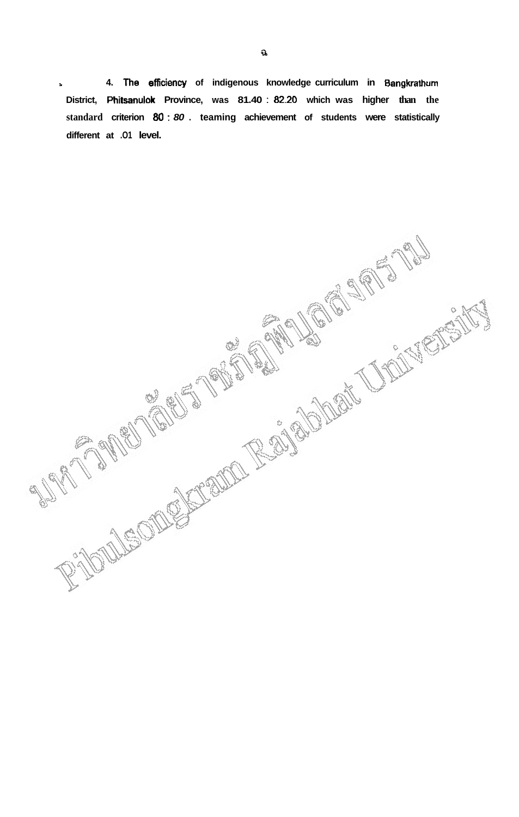**<sup>b</sup>4. The efficiency of indigenous knowledge curriculum in Bangkrathum District, Phitsanulok Province, was 81.40** : **82.20 which was higher than the standard criterion** *80* : **80** . **teaming achievement of students were statistically different at .O1 level.** 

RIDOLEODOPECTO REGIONALES DE CONTENTACIÓN